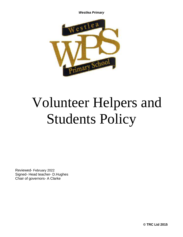

# Volunteer Helpers and Students Policy

Reviewed- February 2022 Signed- Head teacher- D.Hughes Chair of governors- A Clarke

**© TRC Ltd 2015**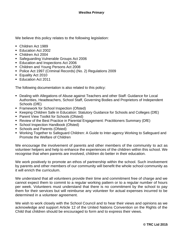We believe this policy relates to the following legislation:

- Children Act 1989
- Education Act 2002
- Children Act 2004
- Safeguarding Vulnerable Groups Act 2006
- Education and Inspections Act 2006
- Children and Young Persons Act 2008
- Police Act 1997 (Criminal Records) (No. 2) Regulations 2009
- Equality Act 2010
- Education Act 2011

The following documentation is also related to this policy:

- Dealing with Allegations of Abuse against Teachers and other Staff: Guidance for Local Authorities, Headteachers, School Staff, Governing Bodies and Proprietors of Independent Schools (DfE)
- **EXECT:** Framework for School Inspection (Ofsted)
- Keeping Children Safe in Education: Statutory Guidance for Schools and Colleges (DfE)
- Parent View Toolkit for Schools (Ofsted)
- Review of the Best Practice in Parental Engagement: Practitioners Summary (DfE)
- School Inspection Handbook (Ofsted)
- **Schools and Parents (Ofsted)**
- Working Together to Safeguard Children: A Guide to Inter-agency Working to Safeguard and Promote the Welfare of Children

We encourage the involvement of parents and other members of the community to act as volunteer helpers and help to enhance the experiences of the children within this school. We recognise that when parents are involved, children do better in their education.

We work positively to promote an ethos of partnership within the school. Such involvement by parents and other members of our community will benefit the whole school community as it will enrich the curriculum.

We understand that all volunteers provide their time and commitment free of charge and we cannot expect them to commit to a regular working pattern or to a regular number of hours per week. Volunteers must understand that there is no commitment by the school to pay them for their services but will reimburse any volunteer for actual expenses incurred to be determined in a volunteer agreement.

We wish to work closely with the School Council and to hear their views and opinions as we acknowledge and support Article 12 of the United Nations Convention on the Rights of the Child that children should be encouraged to form and to express their views.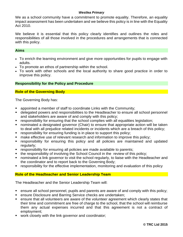We as a school community have a commitment to promote equality. Therefore, an equality impact assessment has been undertaken and we believe this policy is in line with the Equality Act 2010.

We believe it is essential that this policy clearly identifies and outlines the roles and responsibilities of all those involved in the procedures and arrangements that is connected with this policy.

## **Aims**

- To enrich the learning environment and give more opportunities for pupils to engage with adults.
- To promote an ethos of partnership within the school.
- To work with other schools and the local authority to share good practice in order to improve this policy.

# **Responsibility for the Policy and Procedure**

# **Role of the Governing Body**

The Governing Body has:

- appointed a member of staff to coordinate Links with the Community;
- delegated powers and responsibilities to the Headteacher to ensure all school personnel and stakeholders are aware of and comply with this policy;
- responsibility for ensuring that the school complies with all equalities legislation;
- nominated a designated governor (Chair) to ensure that appropriate action will be taken to deal with all prejudice related incidents or incidents which are a breach of this policy;
- responsibility for ensuring funding is in place to support this policy;
- make effective use of relevant research and information to improve this policy;
- **EX FE** responsibility for ensuring this policy and all policies are maintained and updated regularly;
- **EXP** responsibility for ensuring all policies are made available to parents;
- the responsibility of involving the School Council in the review of this policy;
- nominated a link governor to visit the school regularly, to liaise with the Headteacher and the coordinator and to report back to the Governing Body;
- **EXP** responsibility for the effective implementation, monitoring and evaluation of this policy

# **Role of the Headteacher and Senior Leadership Team**

The Headteacher and the Senior Leadership Team will:

- ensure all school personnel, pupils and parents are aware of and comply with this policy;
- ensure Disclosure and Barring Service checks are undertaken;
- ensure that all volunteers are aware of the volunteer agreement which clearly states that their time and commitment are free of charge to the school, that the school will reimburse them any actual expenses incurred and that this agreement is not a contract of employment;
- work closely with the link governor and coordinator;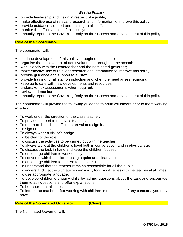- **•** provide leadership and vision in respect of equality;
- make effective use of relevant research and information to improve this policy;
- provide guidance, support and training to all staff;
- monitor the effectiveness of this policy;
- annually report to the Governing Body on the success and development of this policy

# **Role of the Coordinator**

The coordinator will:

- lead the development of this policy throughout the school;
- organise the deployment of adult volunteers throughout the school;
- work closely with the Headteacher and the nominated governor;
- make effective use of relevant research and information to improve this policy:
- provide guidance and support to all staff;
- **•** provide training for all staff on induction and when the need arises regarding;
- keep up to date with new developments and resources;
- undertake risk assessments when required:
- review and monitor:
- annually report to the Governing Body on the success and development of this policy

The coordinator will provide the following guidance to adult volunteers prior to them working in school:

- To work under the direction of the class teacher.
- To provide support to the class teacher.
- To report to the school office on arrival and sign in.
- To sign out on leaving.
- To always wear a visitor's badge.
- To be clear of the role.
- To discuss the activities to be carried out with the teacher.
- To always work at the children's level both in conversation and in physical size.
- To discuss the task in hand and keep the children focused.
- To encourage children to work quietly.
- To converse with the children using a quiet and clear voice.
- To encourage children to adhere to the class rules.
- To understand that the teacher remains responsible for all the pupils.
- To understand that the ultimate responsibility for discipline lies with the teacher at all times.
- To use appropriate language.
- To develop children's enquiry skills by asking questions about the task and encourage them to ask questions and offer explanations.
- To be discreet at all times.
- **To inform the teacher, after working with children in the school, of any concerns you may** have.

# **Role of the Nominated Governor (Chair)**

The Nominated Governor will: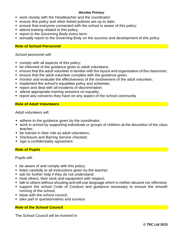- work closely with the Headteacher and the coordinator;
- ensure this policy and other linked policies are up to date;
- ensure that everyone connected with the school is aware of this policy;
- **E** attend training related to this policy;
- **report to the Governing Body every term;**
- **Examble 1** annually report to the Governing Body on the success and development of this policy

# **Role of School Personnel**

School personnel will:

- comply with all aspects of this policy;
- be informed of the quidance given to adult volunteers;
- ensure that the adult volunteer is familiar with the layout and organisation of the classroom;
- ensure that the adult volunteer complies with the guidance given;
- monitor and evaluate the effectiveness of the involvement of the adult volunteer;
- **E** implement the school's equalities policy and schemes;
- report and deal with all incidents of discrimination:
- attend appropriate training sessions on equality;
- report any concerns they have on any aspect of the school community

# **Role of Adult Volunteers**

Adult volunteers will:

- adhere to the quidance given by the coordinator;
- work in school by supporting individuals or groups of children at the discretion of the class teacher;
- be trained in their role as adult volunteers;
- **Disclosure and Barring Service checked;**
- sign a confidentiality agreement

# **Role of Pupils**

Pupils will:

- be aware of and comply with this policy;
- **EXECT** listen carefully to all instructions given by the teacher;
- ask for further help if they do not understand;
- treat others, their work and equipment with respect;
- talk to others without shouting and will use language which is neither abusive nor offensive;
- support the school Code of Conduct and guidance necessary to ensure the smooth running of the school;
- **E** liaise with the school council:
- take part in questionnaires and surveys

# **Role of the School Council**

The School Council will be involved in: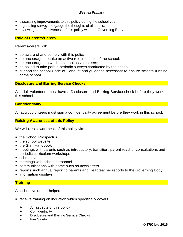- **E** discussing improvements to this policy during the school year;
- organising surveys to gauge the thoughts of all pupils;
- **reviewing the effectiveness of this policy with the Governing Body**

# **Role of Parents/Carers**

Parents/carers will:

- $\blacksquare$  be aware of and comply with this policy;
- be encouraged to take an active role in the life of the school:
- be encouraged to work in school as volunteers;
- be asked to take part in periodic surveys conducted by the school;
- support the school Code of Conduct and quidance necessary to ensure smooth running of the school

#### **Disclosure and Barring Service Checks**

All adult volunteers must have a Disclosure and Barring Service check before they work in this school.

# **Confidentiality**

All adult volunteers must sign a confidentiality agreement before they work in this school.

# **Raising Awareness of this Policy**

We will raise awareness of this policy via:

- the School Prospectus
- the school website
- the Staff Handbook
- meetings with parents such as introductory, transition, parent-teacher consultations and periodic curriculum workshops
- school events
- meetings with school personnel
- communications with home such as newsletters
- reports such annual report to parents and Headteacher reports to the Governing Body
- information displays

# **Training**

All school volunteer helpers:

- receive training on induction which specifically covers:
	- $\triangleright$  All aspects of this policy
	- ➢ Confidentiality
	- ➢ Disclosure and Barring Service Checks
	- ➢ Fire Safety